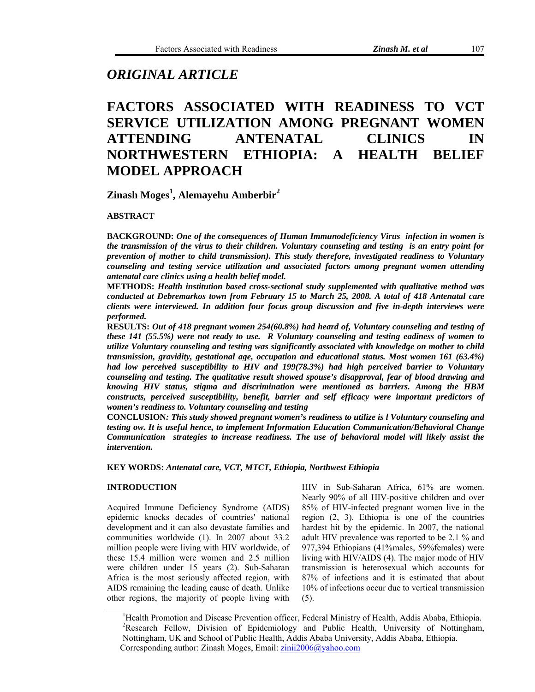# *ORIGINAL ARTICLE*

# **FACTORS ASSOCIATED WITH READINESS TO VCT SERVICE UTILIZATION AMONG PREGNANT WOMEN ATTENDING ANTENATAL CLINICS IN NORTHWESTERN ETHIOPIA: A HEALTH BELIEF MODEL APPROACH**

**Zinash Moges<sup>1</sup> , Alemayehu Amberbir2** 

**ABSTRACT** 

**BACKGROUND:** *One of the consequences of Human Immunodeficiency Virus infection in women is the transmission of the virus to their children. Voluntary counseling and testing is an entry point for prevention of mother to child transmission). This study therefore, investigated readiness to Voluntary counseling and testing service utilization and associated factors among pregnant women attending antenatal care clinics using a health belief model.*

**METHODS:** *Health institution based cross-sectional study supplemented with qualitative method was conducted at Debremarkos town from February 15 to March 25, 2008. A total of 418 Antenatal care clients were interviewed. In addition four focus group discussion and five in-depth interviews were performed.* 

**RESULTS:** *Out of 418 pregnant women 254(60.8%) had heard of, Voluntary counseling and testing of these 141 (55.5%) were not ready to use. R Voluntary counseling and testing eadiness of women to utilize Voluntary counseling and testing was significantly associated with knowledge on mother to child transmission, gravidity, gestational age, occupation and educational status. Most women 161 (63.4%) had low perceived susceptibility to HIV and 199(78.3%) had high perceived barrier to Voluntary counseling and testing. The qualitative result showed spouse's disapproval, fear of blood drawing and knowing HIV status, stigma and discrimination were mentioned as barriers. Among the HBM constructs, perceived susceptibility, benefit, barrier and self efficacy were important predictors of women's readiness to. Voluntary counseling and testing* 

**CONCLUSION***: This study showed pregnant women's readiness to utilize is l Voluntary counseling and testing ow. It is useful hence, to implement Information Education Communication/Behavioral Change Communication strategies to increase readiness. The use of behavioral model will likely assist the intervention.* 

**KEY WORDS:** *Antenatal care, VCT, MTCT, Ethiopia, Northwest Ethiopia*

# **INTRODUCTION**

Acquired Immune Deficiency Syndrome (AIDS) epidemic knocks decades of countries' national development and it can also devastate families and communities worldwide (1). In 2007 about 33.2 million people were living with HIV worldwide, of these 15.4 million were women and 2.5 million were children under 15 years (2). Sub-Saharan Africa is the most seriously affected region, with AIDS remaining the leading cause of death. Unlike other regions, the majority of people living with

HIV in Sub-Saharan Africa, 61% are women. Nearly 90% of all HIV-positive children and over 85% of HIV-infected pregnant women live in the region (2, 3). Ethiopia is one of the countries hardest hit by the epidemic. In 2007, the national adult HIV prevalence was reported to be 2.1 % and 977,394 Ethiopians (41%males, 59%females) were living with HIV/AIDS (4). The major mode of HIV transmission is heterosexual which accounts for 87% of infections and it is estimated that about 10% of infections occur due to vertical transmission (5).

<sup>&</sup>lt;sup>1</sup>Health Promotion and Disease Prevention officer, Federal Ministry of Health, Addis Ababa, Ethiopia. <sup>2</sup>Research Fellow, Division of Epidemiology and Public Health, University of Nottingham, Nottingham, UK and School of Public Health, Addis Ababa University, Addis Ababa, Ethiopia. Corresponding author: Zinash Moges, Email: [zinii2006@yahoo.com](mailto:zinii2006@yahoo.com)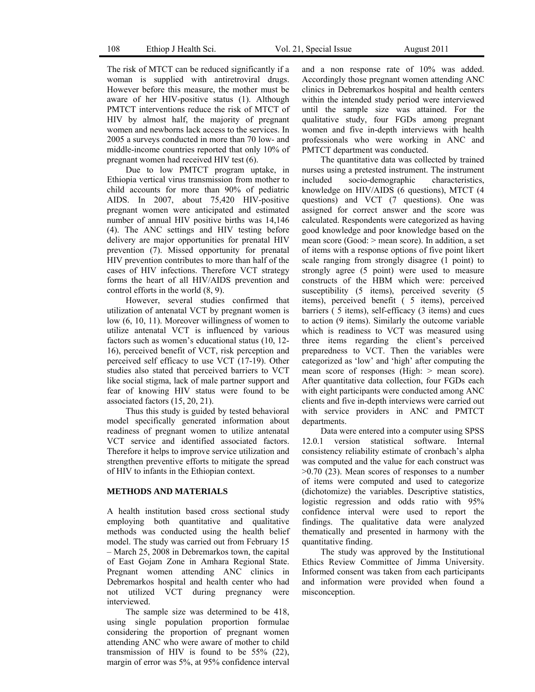The risk of MTCT can be reduced significantly if a woman is supplied with antiretroviral drugs. However before this measure, the mother must be aware of her HIV-positive status (1). Although PMTCT interventions reduce the risk of MTCT of HIV by almost half, the majority of pregnant women and newborns lack access to the services. In 2005 a surveys conducted in more than 70 low- and middle-income countries reported that only 10% of pregnant women had received HIV test (6).

 Due to low PMTCT program uptake, in Ethiopia vertical virus transmission from mother to child accounts for more than 90% of pediatric AIDS. In 2007, about 75,420 HIV-positive pregnant women were anticipated and estimated number of annual HIV positive births was 14,146 (4). The ANC settings and HIV testing before delivery are major opportunities for prenatal HIV prevention (7). Missed opportunity for prenatal HIV prevention contributes to more than half of the cases of HIV infections. Therefore VCT strategy forms the heart of all HIV/AIDS prevention and control efforts in the world (8, 9).

 However, several studies confirmed that utilization of antenatal VCT by pregnant women is low (6, 10, 11). Moreover willingness of women to utilize antenatal VCT is influenced by various factors such as women's educational status (10, 12- 16), perceived benefit of VCT, risk perception and perceived self efficacy to use VCT (17-19). Other studies also stated that perceived barriers to VCT like social stigma, lack of male partner support and fear of knowing HIV status were found to be associated factors (15, 20, 21).

 Thus this study is guided by tested behavioral model specifically generated information about readiness of pregnant women to utilize antenatal VCT service and identified associated factors. Therefore it helps to improve service utilization and strengthen preventive efforts to mitigate the spread of HIV to infants in the Ethiopian context.

### **METHODS AND MATERIALS**

A health institution based cross sectional study employing both quantitative and qualitative methods was conducted using the health belief model. The study was carried out from February 15 – March 25, 2008 in Debremarkos town, the capital of East Gojam Zone in Amhara Regional State. Pregnant women attending ANC clinics in Debremarkos hospital and health center who had not utilized VCT during pregnancy were interviewed.

 The sample size was determined to be 418, using single population proportion formulae considering the proportion of pregnant women attending ANC who were aware of mother to child transmission of HIV is found to be 55% (22), margin of error was 5%, at 95% confidence interval

and a non response rate of 10% was added. Accordingly those pregnant women attending ANC clinics in Debremarkos hospital and health centers within the intended study period were interviewed until the sample size was attained. For the qualitative study, four FGDs among pregnant women and five in-depth interviews with health professionals who were working in ANC and PMTCT department was conducted.

 The quantitative data was collected by trained nurses using a pretested instrument. The instrument included socio-demographic characteristics, knowledge on HIV/AIDS (6 questions), MTCT (4 questions) and VCT (7 questions). One was assigned for correct answer and the score was calculated. Respondents were categorized as having good knowledge and poor knowledge based on the mean score (Good: > mean score). In addition, a set of items with a response options of five point likert scale ranging from strongly disagree (1 point) to strongly agree (5 point) were used to measure constructs of the HBM which were: perceived susceptibility (5 items), perceived severity (5 items), perceived benefit ( 5 items), perceived barriers ( 5 items), self-efficacy (3 items) and cues to action (9 items). Similarly the outcome variable which is readiness to VCT was measured using three items regarding the client's perceived preparedness to VCT. Then the variables were categorized as 'low' and 'high' after computing the mean score of responses (High:  $>$  mean score). After quantitative data collection, four FGDs each with eight participants were conducted among ANC clients and five in-depth interviews were carried out with service providers in ANC and PMTCT departments.

 Data were entered into a computer using SPSS 12.0.1 version statistical software. Internal consistency reliability estimate of cronbach's alpha was computed and the value for each construct was >0.70 (23). Mean scores of responses to a number of items were computed and used to categorize (dichotomize) the variables. Descriptive statistics, logistic regression and odds ratio with 95% confidence interval were used to report the findings. The qualitative data were analyzed thematically and presented in harmony with the quantitative finding.

 The study was approved by the Institutional Ethics Review Committee of Jimma University. Informed consent was taken from each participants and information were provided when found a misconception.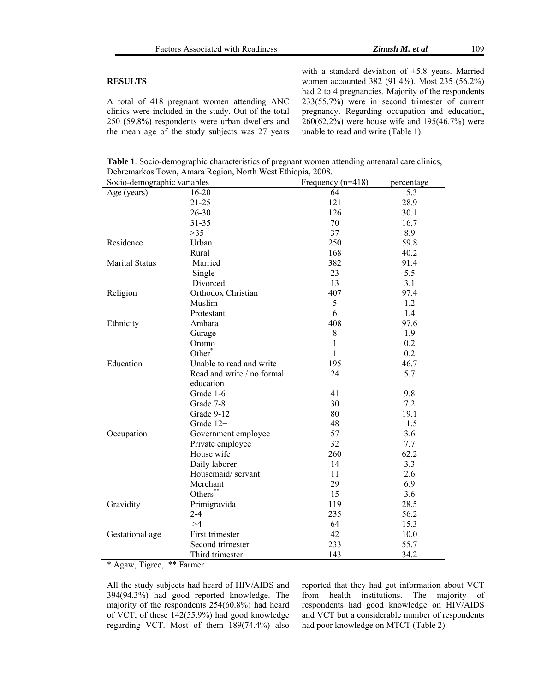# **RESULTS**

A total of 418 pregnant women attending ANC clinics were included in the study. Out of the total 250 (59.8%) respondents were urban dwellers and the mean age of the study subjects was 27 years with a standard deviation of ±5.8 years. Married women accounted 382 (91.4%). Most 235 (56.2%) had 2 to 4 pregnancies. Majority of the respondents 233(55.7%) were in second trimester of current pregnancy. Regarding occupation and education, 260(62.2%) were house wife and 195(46.7%) were unable to read and write (Table 1).

**Table 1**. Socio-demographic characteristics of pregnant women attending antenatal care clinics, Debremarkos Town, Amara Region, North West Ethiopia, 2008.

| Socio-demographic variables |                            | Frequency $(n=418)$ | percentage |  |
|-----------------------------|----------------------------|---------------------|------------|--|
| Age (years)                 | $16 - 20$                  | 64                  | 15.3       |  |
|                             | $21 - 25$                  | 121                 | 28.9       |  |
|                             | $26 - 30$                  | 126                 | 30.1       |  |
|                             | 31-35                      | 70                  | 16.7       |  |
|                             | >35                        | 37                  | 8.9        |  |
| Residence                   | Urban                      | 250                 | 59.8       |  |
|                             | Rural                      | 168                 | 40.2       |  |
| <b>Marital Status</b>       | Married                    | 382                 | 91.4       |  |
|                             | Single                     | 23                  | 5.5        |  |
|                             | Divorced                   | 13                  | 3.1        |  |
| Religion                    | Orthodox Christian         | 407                 | 97.4       |  |
|                             | Muslim                     | 5                   | 1.2        |  |
|                             | Protestant                 | 6                   | 1.4        |  |
| Ethnicity                   | Amhara                     | 408                 | 97.6       |  |
|                             | Gurage                     | 8                   | 1.9        |  |
|                             | Oromo                      | 1                   | 0.2        |  |
|                             | Other <sup>*</sup>         | 1                   | 0.2        |  |
| Education                   | Unable to read and write   | 195                 | 46.7       |  |
|                             | Read and write / no formal | 24                  | 5.7        |  |
|                             | education                  |                     |            |  |
|                             | Grade 1-6                  | 41                  | 9.8        |  |
|                             | Grade 7-8                  | 30                  | 7.2        |  |
|                             | Grade 9-12                 | 80                  | 19.1       |  |
|                             | Grade 12+                  | 48                  | 11.5       |  |
| Occupation                  | Government employee        | 57                  | 3.6        |  |
|                             | Private employee           | 32                  | 7.7        |  |
|                             | House wife                 | 260                 | 62.2       |  |
|                             | Daily laborer              | 14                  | 3.3        |  |
|                             | Housemaid/servant          | 11                  | 2.6        |  |
|                             | Merchant                   | 29                  | 6.9        |  |
|                             | Others**                   | 15                  | 3.6        |  |
| Gravidity                   | Primigravida               | 119                 | 28.5       |  |
|                             | $2 - 4$                    | 235                 | 56.2       |  |
|                             | >1                         | 64                  | 15.3       |  |
| Gestational age             | First trimester            | 42                  | 10.0       |  |
|                             | Second trimester           | 233                 | 55.7       |  |
|                             | Third trimester            | 143                 | 34.2       |  |

\* Agaw, Tigree, \*\* Farmer

All the study subjects had heard of HIV/AIDS and 394(94.3%) had good reported knowledge. The majority of the respondents 254(60.8%) had heard of VCT, of these 142(55.9%) had good knowledge regarding VCT. Most of them 189(74.4%) also

reported that they had got information about VCT from health institutions. The majority of respondents had good knowledge on HIV/AIDS and VCT but a considerable number of respondents had poor knowledge on MTCT (Table 2).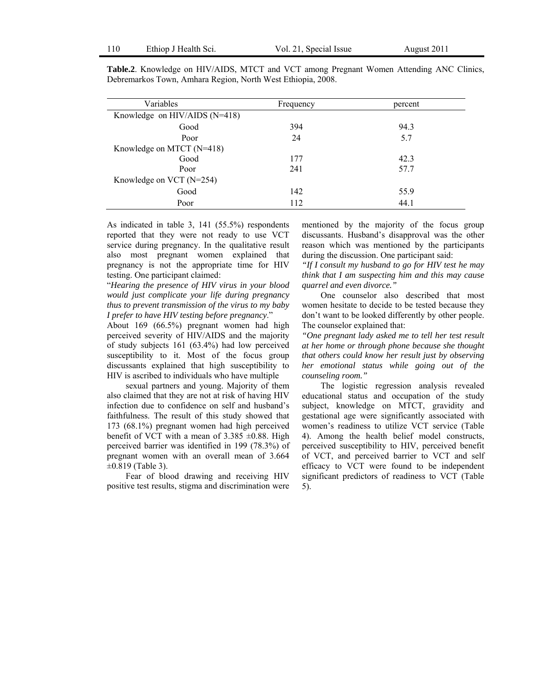| Variables                       | Frequency | percent |  |  |
|---------------------------------|-----------|---------|--|--|
| Knowledge on HIV/AIDS $(N=418)$ |           |         |  |  |
| Good                            | 394       | 94.3    |  |  |
| Poor                            | 24        | 5.7     |  |  |
| Knowledge on MTCT (N=418)       |           |         |  |  |
| Good                            | 177       | 42.3    |  |  |
| Poor                            | 241       | 57.7    |  |  |
| Knowledge on VCT $(N=254)$      |           |         |  |  |
| Good                            | 142       | 55.9    |  |  |
| Poor                            | 112       | 44.1    |  |  |

**Table.2**. Knowledge on HIV/AIDS, MTCT and VCT among Pregnant Women Attending ANC Clinics, Debremarkos Town, Amhara Region, North West Ethiopia, 2008.

As indicated in table 3, 141 (55.5%) respondents reported that they were not ready to use VCT service during pregnancy. In the qualitative result also most pregnant women explained that pregnancy is not the appropriate time for HIV testing. One participant claimed:

"*Hearing the presence of HIV virus in your blood would just complicate your life during pregnancy thus to prevent transmission of the virus to my baby I prefer to have HIV testing before pregnancy*."

About 169 (66.5%) pregnant women had high perceived severity of HIV/AIDS and the majority of study subjects 161 (63.4%) had low perceived susceptibility to it. Most of the focus group discussants explained that high susceptibility to HIV is ascribed to individuals who have multiple

 sexual partners and young. Majority of them also claimed that they are not at risk of having HIV infection due to confidence on self and husband's faithfulness. The result of this study showed that 173 (68.1%) pregnant women had high perceived benefit of VCT with a mean of  $3.385 \pm 0.88$ . High perceived barrier was identified in 199 (78.3%) of pregnant women with an overall mean of 3.664  $\pm 0.819$  (Table 3).

 Fear of blood drawing and receiving HIV positive test results, stigma and discrimination were mentioned by the majority of the focus group discussants. Husband's disapproval was the other reason which was mentioned by the participants during the discussion. One participant said:

*"If I consult my husband to go for HIV test he may think that I am suspecting him and this may cause quarrel and even divorce."* 

 One counselor also described that most women hesitate to decide to be tested because they don't want to be looked differently by other people. The counselor explained that:

*"One pregnant lady asked me to tell her test result at her home or through phone because she thought that others could know her result just by observing her emotional status while going out of the counseling room."*

 The logistic regression analysis revealed educational status and occupation of the study subject, knowledge on MTCT, gravidity and gestational age were significantly associated with women's readiness to utilize VCT service (Table 4). Among the health belief model constructs, perceived susceptibility to HIV, perceived benefit of VCT, and perceived barrier to VCT and self efficacy to VCT were found to be independent significant predictors of readiness to VCT (Table 5).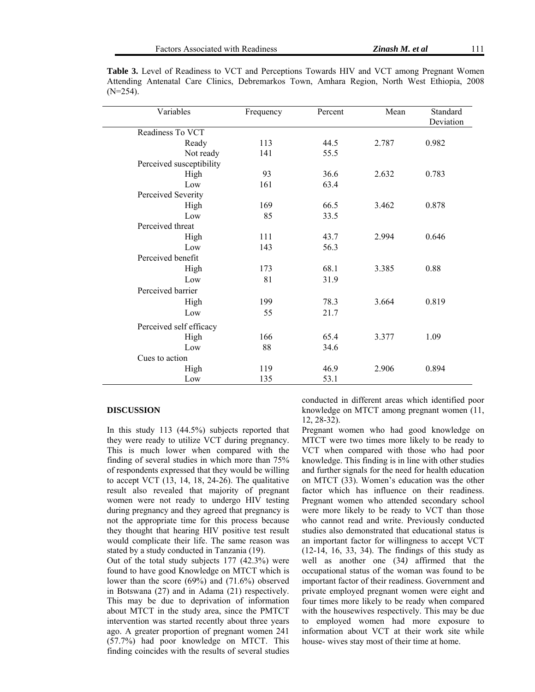| Variables                | Frequency | Percent | Mean  | Standard<br>Deviation |
|--------------------------|-----------|---------|-------|-----------------------|
| Readiness To VCT         |           |         |       |                       |
| Ready                    | 113       | 44.5    | 2.787 | 0.982                 |
| Not ready                | 141       | 55.5    |       |                       |
| Perceived susceptibility |           |         |       |                       |
| High                     | 93        | 36.6    | 2.632 | 0.783                 |
| Low                      | 161       | 63.4    |       |                       |
| Perceived Severity       |           |         |       |                       |
| High                     | 169       | 66.5    | 3.462 | 0.878                 |
| Low                      | 85        | 33.5    |       |                       |
| Perceived threat         |           |         |       |                       |
| High                     | 111       | 43.7    | 2.994 | 0.646                 |
| Low                      | 143       | 56.3    |       |                       |
| Perceived benefit        |           |         |       |                       |
| High                     | 173       | 68.1    | 3.385 | 0.88                  |
| Low                      | 81        | 31.9    |       |                       |
| Perceived barrier        |           |         |       |                       |
| High                     | 199       | 78.3    | 3.664 | 0.819                 |
| Low                      | 55        | 21.7    |       |                       |
| Perceived self efficacy  |           |         |       |                       |
| High                     | 166       | 65.4    | 3.377 | 1.09                  |
| Low                      | 88        | 34.6    |       |                       |
| Cues to action           |           |         |       |                       |
| High                     | 119       | 46.9    | 2.906 | 0.894                 |
| Low                      | 135       | 53.1    |       |                       |

Table 3. Level of Readiness to VCT and Perceptions Towards HIV and VCT among Pregnant Women Attending Antenatal Care Clinics, Debremarkos Town, Amhara Region, North West Ethiopia, 2008  $(N=254)$ .

## **DISCUSSION**

In this study 113 (44.5%) subjects reported that they were ready to utilize VCT during pregnancy. This is much lower when compared with the finding of several studies in which more than 75% of respondents expressed that they would be willing to accept VCT (13, 14, 18, 24-26). The qualitative result also revealed that majority of pregnant women were not ready to undergo HIV testing during pregnancy and they agreed that pregnancy is not the appropriate time for this process because they thought that hearing HIV positive test result would complicate their life. The same reason was stated by a study conducted in Tanzania (19).

Out of the total study subjects 177 (42.3%) were found to have good Knowledge on MTCT which is lower than the score (69%) and (71.6%) observed in Botswana (27) and in Adama (21) respectively. This may be due to deprivation of information about MTCT in the study area, since the PMTCT intervention was started recently about three years ago. A greater proportion of pregnant women 241 (57.7%) had poor knowledge on MTCT. This finding coincides with the results of several studies

conducted in different areas which identified poor knowledge on MTCT among pregnant women (11, 12, 28-32).

Pregnant women who had good knowledge on MTCT were two times more likely to be ready to VCT when compared with those who had poor knowledge. This finding is in line with other studies and further signals for the need for health education on MTCT (33). Women's education was the other factor which has influence on their readiness. Pregnant women who attended secondary school were more likely to be ready to VCT than those who cannot read and write. Previously conducted studies also demonstrated that educational status is an important factor for willingness to accept VCT (12-14, 16, 33, 34). The findings of this study as well as another one (34*)* affirmed that the occupational status of the woman was found to be important factor of their readiness. Government and private employed pregnant women were eight and four times more likely to be ready when compared with the housewives respectively. This may be due to employed women had more exposure to information about VCT at their work site while house- wives stay most of their time at home.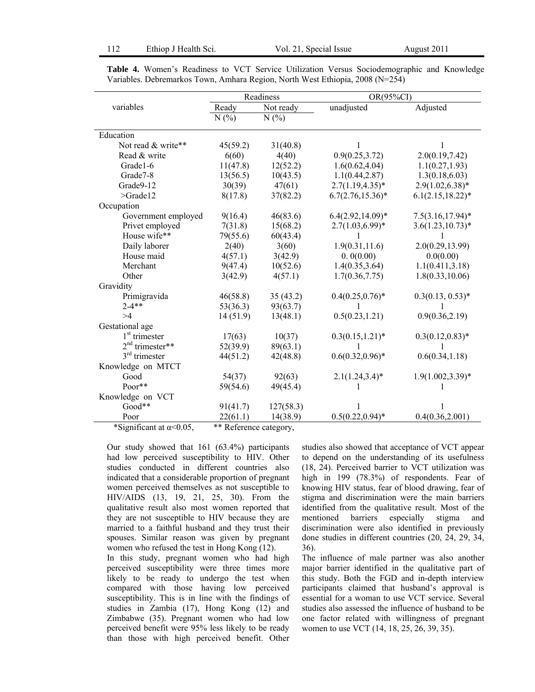|                       | Readiness |           | OR(95%CI)            |                      |
|-----------------------|-----------|-----------|----------------------|----------------------|
| variables             | Ready     | Not ready | unadjusted           | Adjusted             |
|                       | N(%       | N(%       |                      |                      |
| Education             |           |           |                      |                      |
| Not read & write**    | 45(59.2)  | 31(40.8)  | 1                    | 1                    |
| Read & write          | 6(60)     | 4(40)     | 0.9(0.25, 3.72)      | 2.0(0.19, 7.42)      |
| Grade1-6              | 11(47.8)  | 12(52.2)  | 1.6(0.62, 4.04)      | 1.1(0.27, 1.93)      |
| Grade <sup>7</sup> -8 | 13(56.5)  | 10(43.5)  | 1.1(0.44, 2.87)      | 1.3(0.18, 6.03)      |
| Grade9-12             | 30(39)    | 47(61)    | $2.7(1.19, 4.35)^*$  | $2.9(1.02, 6.38)*$   |
| $>\text{Grade}12$     | 8(17.8)   | 37(82.2)  | $6.7(2.76, 15.36)^*$ | $6.1(2.15, 18.22)^*$ |
| Occupation            |           |           |                      |                      |
| Government employed   | 9(16.4)   | 46(83.6)  | $6.4(2.92, 14.09)^*$ | $7.5(3.16, 17.94)^*$ |
| Privet employed       | 7(31.8)   | 15(68.2)  | $2.7(1.03, 6.99)^*$  | $3.6(1.23, 10.73)^*$ |
| House wife**          | 79(55.6)  | 60(43.4)  |                      |                      |
| Daily laborer         | 2(40)     | 3(60)     | 1.9(0.31, 11.6)      | 2.0(0.29, 13.99)     |
| House maid            | 4(57.1)   | 3(42.9)   | 0.0(0.00)            | 0.0(0.00)            |
| Merchant              | 9(47.4)   | 10(52.6)  | 1.4(0.35, 3.64)      | 1.1(0.411, 3.18)     |
| Other                 | 3(42.9)   | 4(57.1)   | 1.7(0.36, 7.75)      | 1.8(0.33, 10.06)     |
| Gravidity             |           |           |                      |                      |
| Primigravida          | 46(58.8)  | 35(43.2)  | $0.4(0.25, 0.76)^*$  | $0.3(0.13, 0.53)*$   |
| $2 - 4$ **            | 53(36.3)  | 93(63.7)  |                      |                      |
| >4                    | 14(51.9)  | 13(48.1)  | 0.5(0.23, 1.21)      | 0.9(0.36, 2.19)      |
| Gestational age       |           |           |                      |                      |
| $1st$ trimester       | 17(63)    | 10(37)    | $0.3(0.15, 1.21)^*$  | $0.3(0.12, 0.83)*$   |
| $2nd$ trimester**     | 52(39.9)  | 89(63.1)  |                      |                      |
| $3rd$ trimester       | 44(51.2)  | 42(48.8)  | $0.6(0.32, 0.96)^*$  | 0.6(0.34, 1.18)      |
| Knowledge on MTCT     |           |           |                      |                      |
| Good                  | 54(37)    | 92(63)    | $2.1(1.24, 3.4)*$    | $1.9(1.002, 3.39)^*$ |
| $Poor**$              | 59(54.6)  | 49(45.4)  |                      |                      |
| Knowledge on VCT      |           |           |                      |                      |
| Good**                | 91(41.7)  | 127(58.3) |                      |                      |
| Poor                  | 22(61.1)  | 14(38.9)  | $0.5(0.22, 0.94)$ *  | 0.4(0.36, 2.001)     |

**Table 4.** Women's Readiness to VCT Service Utilization Versus Sociodemographic and Knowledge Variables. Debremarkos Town, Amhara Region, North West Ethiopia, 2008 (N=254)

\*Significant at  $\alpha$ <0.05, \*\* Reference category,

Our study showed that 161 (63.4%) participants had low perceived susceptibility to HIV. Other studies conducted in different countries also indicated that a considerable proportion of pregnant women perceived themselves as not susceptible to HIV/AIDS (13, 19, 21, 25, 30). From the qualitative result also most women reported that they are not susceptible to HIV because they are married to a faithful husband and they trust their spouses. Similar reason was given by pregnant women who refused the test in Hong Kong (12).

In this study, pregnant women who had high perceived susceptibility were three times more likely to be ready to undergo the test when compared with those having low perceived susceptibility. This is in line with the findings of studies in Zambia (17), Hong Kong (12) and Zimbabwe (35). Pregnant women who had low perceived benefit were 95% less likely to be ready than those with high perceived benefit. Other

studies also showed that acceptance of VCT appear to depend on the understanding of its usefulness (18, 24). Perceived barrier to VCT utilization was high in 199 (78.3%) of respondents. Fear of knowing HIV status, fear of blood drawing, fear of stigma and discrimination were the main barriers identified from the qualitative result. Most of the mentioned barriers especially stigma and discrimination were also identified in previously done studies in different countries (20, 24, 29, 34, 36).

The influence of male partner was also another major barrier identified in the qualitative part of this study. Both the FGD and in-depth interview participants claimed that husband's approval is essential for a woman to use VCT service. Several studies also assessed the influence of husband to be one factor related with willingness of pregnant women to use VCT (14, 18, 25, 26, 39, 35).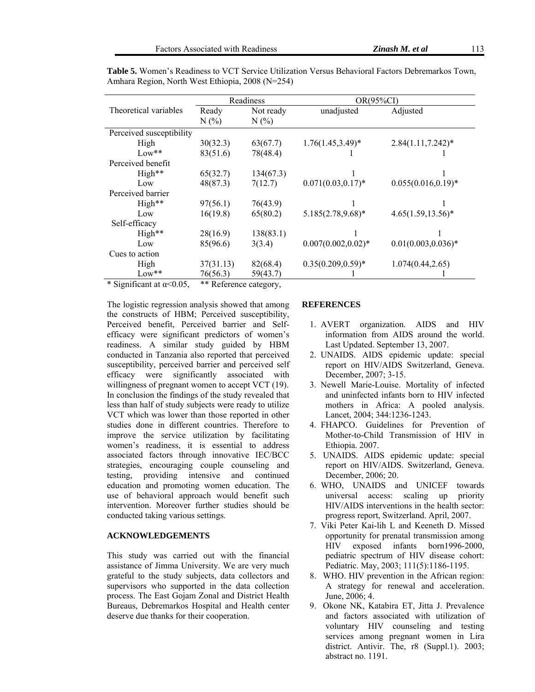|                          | Readiness |           | $OR(95\%CI)$           |                        |
|--------------------------|-----------|-----------|------------------------|------------------------|
| Theoretical variables    | Ready     | Not ready | unadjusted             | Adjusted               |
|                          | N(%       | $N(\%)$   |                        |                        |
| Perceived susceptibility |           |           |                        |                        |
| High                     | 30(32.3)  | 63(67.7)  | $1.76(1.45, 3.49)^*$   | $2.84(1.11, 7.242)^*$  |
| $Low**$                  | 83(51.6)  | 78(48.4)  |                        |                        |
| Perceived benefit        |           |           |                        |                        |
| High**                   | 65(32.7)  | 134(67.3) |                        |                        |
| Low                      | 48(87.3)  | 7(12.7)   | $0.071(0.03, 0.17)^*$  | $0.055(0.016, 0.19)*$  |
| Perceived barrier        |           |           |                        |                        |
| High**                   | 97(56.1)  | 76(43.9)  |                        |                        |
| Low                      | 16(19.8)  | 65(80.2)  | $5.185(2.78, 9.68)*$   | $4.65(1.59, 13.56)^*$  |
| Self-efficacy            |           |           |                        |                        |
| High**                   | 28(16.9)  | 138(83.1) |                        |                        |
| Low                      | 85(96.6)  | 3(3.4)    | $0.007(0.002, 0.02)^*$ | $0.01(0.003, 0.036)^*$ |
| Cues to action           |           |           |                        |                        |
| High                     | 37(31.13) | 82(68.4)  | $0.35(0.209, 0.59)^*$  | 1.074(0.44, 2.65)      |
| $Low***$                 | 76(56.3)  | 59(43.7)  |                        |                        |

**Table 5.** Women's Readiness to VCT Service Utilization Versus Behavioral Factors Debremarkos Town, Amhara Region, North West Ethiopia, 2008 (N=254)

\* Significant at  $\alpha$ <0.05, \*\* Reference category,

The logistic regression analysis showed that among the constructs of HBM; Perceived susceptibility, Perceived benefit, Perceived barrier and Selfefficacy were significant predictors of women's readiness. A similar study guided by HBM conducted in Tanzania also reported that perceived susceptibility, perceived barrier and perceived self efficacy were significantly associated with willingness of pregnant women to accept VCT  $(19)$ . In conclusion the findings of the study revealed that less than half of study subjects were ready to utilize VCT which was lower than those reported in other studies done in different countries. Therefore to improve the service utilization by facilitating women's readiness, it is essential to address associated factors through innovative IEC/BCC strategies, encouraging couple counseling and testing, providing intensive and continued education and promoting women education. The use of behavioral approach would benefit such intervention. Moreover further studies should be conducted taking various settings.

### **ACKNOWLEDGEMENTS**

This study was carried out with the financial assistance of Jimma University. We are very much grateful to the study subjects, data collectors and supervisors who supported in the data collection process. The East Gojam Zonal and District Health Bureaus, Debremarkos Hospital and Health center deserve due thanks for their cooperation.

#### **REFERENCES**

- 1. AVERT organization. AIDS and HIV information from AIDS around the world. Last Updated. September 13, 2007.
- 2. UNAIDS. AIDS epidemic update: special report on HIV/AIDS Switzerland, Geneva. December, 2007; 3-15.
- 3. Newell Marie-Louise. Mortality of infected and uninfected infants born to HIV infected mothers in Africa: A pooled analysis. Lancet, 2004; 344:1236-1243.
- 4. FHAPCO. Guidelines for Prevention of Mother-to-Child Transmission of HIV in Ethiopia. 2007.
- 5. UNAIDS. AIDS epidemic update: special report on HIV/AIDS. Switzerland, Geneva. December, 2006; 20.
- 6. WHO, UNAIDS and UNICEF towards universal access: scaling up priority HIV/AIDS interventions in the health sector: progress report, Switzerland. April, 2007.
- 7. Viki Peter Kai-lih L and Keeneth D. Missed opportunity for prenatal transmission among HIV exposed infants born1996-2000, pediatric spectrum of HIV disease cohort: Pediatric. May, 2003; 111(5):1186-1195.
- 8. WHO. HIV prevention in the African region: A strategy for renewal and acceleration. June, 2006; 4.
- 9. Okone NK, Katabira ET, Jitta J. Prevalence and factors associated with utilization of voluntary HIV counseling and testing services among pregnant women in Lira district. Antivir. The, r8 (Suppl.1). 2003; abstract no. 1191.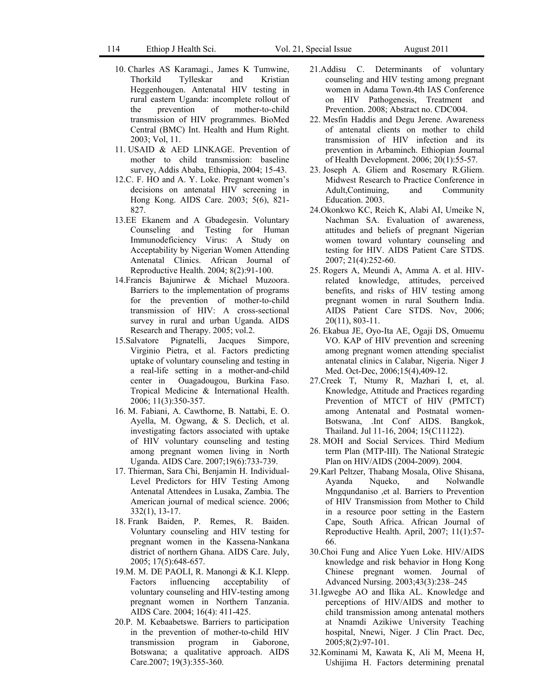114 Ethiop J Health Sci. Vol. 21, Special Issue August 2011

- 10. Charles AS Karamagi., James K Tumwine, Thorkild Tylleskar and Kristian Heggenhougen. Antenatal HIV testing in rural eastern Uganda: incomplete rollout of the prevention of mother-to-child transmission of HIV programmes. BioMed Central (BMC) Int. Health and Hum Right. 2003; Vol, 11.
- 11. USAID & AED LINKAGE. Prevention of mother to child transmission: baseline survey, Addis Ababa, Ethiopia, 2004; 15-43.
- 12.C. F. HO and A. Y. Loke. Pregnant women's decisions on antenatal HIV screening in Hong Kong. AIDS Care. 2003; 5(6), 821- 827.
- 13.EE Ekanem and A Gbadegesin. Voluntary Counseling and Testing for Human Immunodeficiency Virus: A Study on Acceptability by Nigerian Women Attending Antenatal Clinics. African Journal of Reproductive Health. 2004; 8(2):91-100.
- 14.Francis Bajunirwe & Michael Muzoora. Barriers to the implementation of programs for the prevention of mother-to-child transmission of HIV: A cross-sectional survey in rural and urban Uganda. AIDS Research and Therapy. 2005; vol.2.
- 15.Salvatore Pignatelli, Jacques Simpore, Virginio Pietra, et al. Factors predicting uptake of voluntary counseling and testing in a real-life setting in a mother-and-child center in Ouagadougou, Burkina Faso. Tropical Medicine & International Health. 2006; 11(3):350-357.
- 16. M. Fabiani, A. Cawthorne, B. Nattabi, E. O. Ayella, M. Ogwang, & S. Declich, et al. investigating factors associated with uptake of HIV voluntary counseling and testing among pregnant women living in North Uganda. AIDS Care. 2007;19(6):733-739.
- 17. Thierman, Sara Chi, Benjamin H. Individual-Level Predictors for HIV Testing Among Antenatal Attendees in Lusaka, Zambia. The American journal of medical science. 2006; 332(1), 13-17.
- 18. Frank Baiden, P. Remes, R. Baiden. Voluntary counseling and HIV testing for pregnant women in the Kassena-Nankana district of northern Ghana. AIDS Care. July, 2005; 17(5):648-657.
- 19.M. M. DE PAOLI, R. Manongi & K.I. Klepp. Factors influencing acceptability of voluntary counseling and HIV-testing among pregnant women in Northern Tanzania. AIDS Care. 2004; 16(4): 411-425.
- 20.P. M. Kebaabetswe. Barriers to participation in the prevention of mother-to-child HIV transmission program in Gaborone, Botswana; a qualitative approach. AIDS Care.2007; 19(3):355-360.
- 21.Addisu C. Determinants of voluntary counseling and HIV testing among pregnant women in Adama Town.4th IAS Conference on HIV Pathogenesis, Treatment and Prevention. 2008; Abstract no. CDC004.
- 22. Mesfin Haddis and Degu Jerene. Awareness of antenatal clients on mother to child transmission of HIV infection and its prevention in Arbaminch. Ethiopian Journal of Health Development. 2006; 20(1):55-57.
- 23. Joseph A. Gliem and Rosemary R.Gliem. Midwest Research to Practice Conference in Adult,Continuing, and Community Education. 2003.
- 24.Okonkwo KC, Reich K, Alabi AI, Umeike N, Nachman SA. Evaluation of awareness, attitudes and beliefs of pregnant Nigerian women toward voluntary counseling and testing for HIV. AIDS Patient Care STDS. 2007; 21(4):252-60.
- 25. Rogers A, Meundi A, Amma A. et al. HIVrelated knowledge, attitudes, perceived benefits, and risks of HIV testing among pregnant women in rural Southern India. AIDS Patient Care STDS. Nov, 2006; 20(11), 803-11.
- 26. Ekabua JE, Oyo-Ita AE, Ogaji DS, Omuemu VO. KAP of HIV prevention and screening among pregnant women attending specialist antenatal clinics in Calabar, Nigeria. Niger J Med. Oct-Dec, 2006;15(4),409-12.
- 27.Creek T, Ntumy R, Mazhari I, et, al. Knowledge, Attitude and Practices regarding Prevention of MTCT of HIV (PMTCT) among Antenatal and Postnatal women-Botswana, .Int Conf AIDS. Bangkok, Thailand. Jul 11-16, 2004; 15(C11122).
- 28. MOH and Social Services. Third Medium term Plan (MTP-III). The National Strategic Plan on HIV/AIDS (2004-2009). 2004.
- 29.Karl Peltzer, Thabang Mosala, Olive Shisana, Ayanda Nqueko, and Nolwandle Mngqundaniso ,et al. Barriers to Prevention of HIV Transmission from Mother to Child in a resource poor setting in the Eastern Cape, South Africa. African Journal of Reproductive Health. April, 2007; 11(1):57- 66.
- 30.Choi Fung and Alice Yuen Loke. HIV/AIDS knowledge and risk behavior in Hong Kong Chinese pregnant women. Journal of Advanced Nursing. 2003;43(3):238–245
- 31.Igwegbe AO and Ilika AL. Knowledge and perceptions of HIV/AIDS and mother to child transmission among antenatal mothers at Nnamdi Azikiwe University Teaching hospital, Nnewi, Niger. J Clin Pract. Dec, 2005;8(2):97-101.
- 32.Kominami M, Kawata K, Ali M, Meena H, Ushijima H. Factors determining prenatal